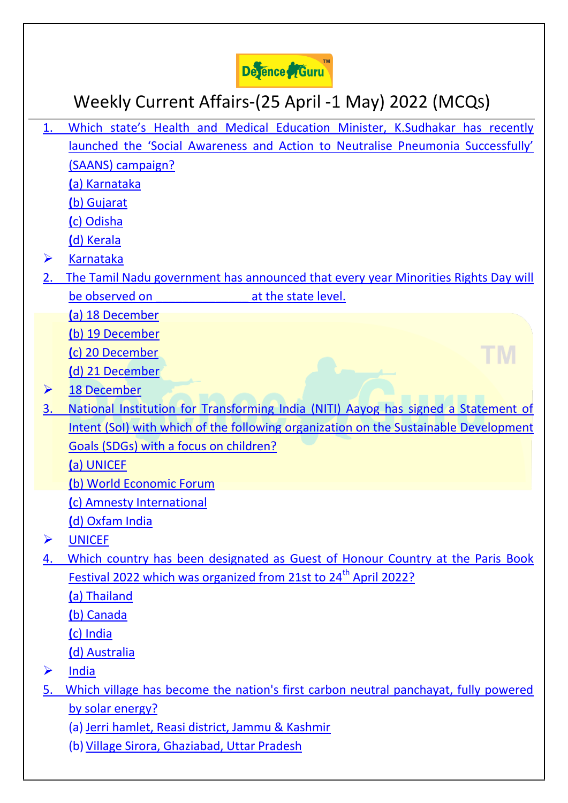

## Weekly Current Affairs-(25 April -1 May) 2022 (MCQS)

1. Which state's Health and [Medical Education Minister, K.Sudhakar](http://www.defenceguru.co.in/) has recently [launched the 'Social Awareness and Action to Neutralise Pneumonia Successfully'](http://www.defenceguru.co.in/)  [\(SAANS\) campaign?](http://www.defenceguru.co.in/) **(**[a\) Karnataka](http://www.defenceguru.co.in/) **(**[b\) Gujarat](http://www.defenceguru.co.in/) **(**[c\) Odisha](http://www.defenceguru.co.in/) **(**[d\) Kerala](http://www.defenceguru.co.in/)  $\triangleright$  [Karnataka](http://www.defenceguru.co.in/) [2. The Tamil Nadu government has announced that every year Minorities Rights Day will](http://www.defenceguru.co.in/)  be observed on example at the state level. **(**[a\) 18 December](http://www.defenceguru.co.in/)  **(**[b\) 19 December](http://www.defenceguru.co.in/)  **(**[c\) 20 December](http://www.defenceguru.co.in/)  TМ **(**[d\) 21 December](http://www.defenceguru.co.in/)   $\triangleright$  [18 December](http://www.defenceguru.co.in/) [3. National Institution for Transforming India \(NITI\) Aayog has signed a Statement of](http://www.defenceguru.co.in/)  [Intent \(SoI\) with which of the following organization on the Sustainable Development](http://www.defenceguru.co.in/)  [Goals \(SDGs\) with a focus on children?](http://www.defenceguru.co.in/) **(**[a\) UNICEF](http://www.defenceguru.co.in/) **(**[b\) World Economic Forum](http://www.defenceguru.co.in/)  **(**[c\) Amnesty International](http://www.defenceguru.co.in/) **(**[d\) Oxfam India](http://www.defenceguru.co.in/) **EXAMPLE** [4. Which country has been designated as Guest of Honour Country at the Paris Book](http://www.defenceguru.co.in/)  [Festival 2022 which was organized from 21st to 24](http://www.defenceguru.co.in/)<sup>th</sup> April 2022? **(**[a\) Thailand](http://www.defenceguru.co.in/) **(**[b\) Canada](http://www.defenceguru.co.in/) **(**[c\) India](http://www.defenceguru.co.in/)  **(**[d\) Australia](http://www.defenceguru.co.in/)  $\triangleright$  [India](http://www.defenceguru.co.in/) [5. Which village has become the nation's first carbon neutral panchayat, fully powered](http://www.defenceguru.co.in/)  [by solar energy?](http://www.defenceguru.co.in/) (a) [Jerri hamlet, Reasi district, Jammu & Kashmir](http://www.defenceguru.co.in/)  (b) [Village Sirora, Ghaziabad, Uttar Pradesh](http://www.defenceguru.co.in/)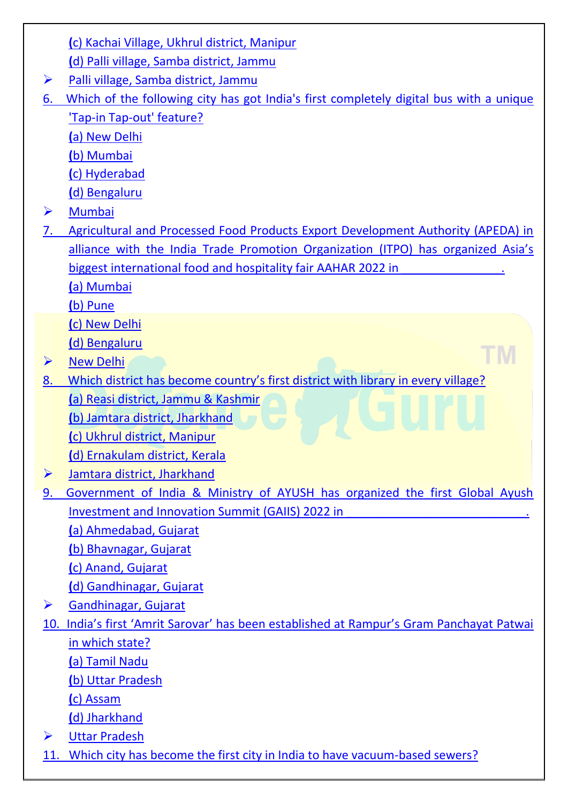**(**[c\) Kachai Village, Ukhrul district, Manipur](http://www.defenceguru.co.in/) **(**[d\) Palli village, Samba district, Jammu](http://www.defenceguru.co.in/) [Palli village, Samba district, Jammu](http://www.defenceguru.co.in/) [6. Which of the following city has got India's first completely digital bus with a unique](http://www.defenceguru.co.in/)  ['Tap-in Tap-out' feature?](http://www.defenceguru.co.in/) **(**[a\) New Delhi](http://www.defenceguru.co.in/) **(**[b\) Mumbai](http://www.defenceguru.co.in/) **(**[c\) Hyderabad](http://www.defenceguru.co.in/) **(**[d\) Bengaluru](http://www.defenceguru.co.in/) [Mumbai](http://www.defenceguru.co.in/) [7. Agricultural and Processed Food Products Export Development Authority \(APEDA\) in](http://www.defenceguru.co.in/)  [alliance with the India Trade Promotion Organization](http://www.defenceguru.co.in/) (ITPO) has organized Asia's [biggest international food and hospitality fair AAHAR 2022 in \\_\\_\\_\\_\\_\\_\\_\\_\\_\\_\\_\\_\\_\\_\\_.](http://www.defenceguru.co.in/) **(**[a\) Mumbai](http://www.defenceguru.co.in/) **(**[b\) Pune](http://www.defenceguru.co.in/) **(**[c\) New Delhi](http://www.defenceguru.co.in/)  **(**[d\) Bengaluru](http://www.defenceguru.co.in/) TМ  $\triangleright$  [New Delhi](http://www.defenceguru.co.in/) [8. Which district has become country's first district with library in every village?](http://www.defenceguru.co.in/) **(**[a\) Reasi district, Jammu & Kashmir](http://www.defenceguru.co.in/) **(**[b\) Jamtara district, Jharkhand](http://www.defenceguru.co.in/) **(**[c\) Ukhrul district, Manipur](http://www.defenceguru.co.in/) **(**[d\) Ernakulam district, Kerala](http://www.defenceguru.co.in/)  $\triangleright$  [Jamtara district, Jharkhand](http://www.defenceguru.co.in/) [9. Government of India & Ministry of AYUSH has organized the first Global Ayush](http://www.defenceguru.co.in/) Investment and Innovation Summit (GAIIS) 2022 in **(**[a\) Ahmedabad, Gujarat](http://www.defenceguru.co.in/) **(**[b\) Bhavnagar, Gujarat](http://www.defenceguru.co.in/) **(**[c\) Anand, Gujarat](http://www.defenceguru.co.in/) **(**[d\) Gandhinagar, Gujarat](http://www.defenceguru.co.in/) [Gandhinagar, Gujarat](http://www.defenceguru.co.in/) 10. [India's first 'Amrit Sarovar' has been established at Rampur's Gram Panchayat Patwai](http://www.defenceguru.co.in/)  [in which state?](http://www.defenceguru.co.in/) **(**[a\) Tamil Nadu](http://www.defenceguru.co.in/) **(**[b\) Uttar Pradesh](http://www.defenceguru.co.in/) **(**[c\) Assam](http://www.defenceguru.co.in/) **(**[d\) Jharkhand](http://www.defenceguru.co.in/) [Uttar Pradesh](http://www.defenceguru.co.in/) [11. Which city has become the first city in India to have vacuum-based sewers?](http://www.defenceguru.co.in/)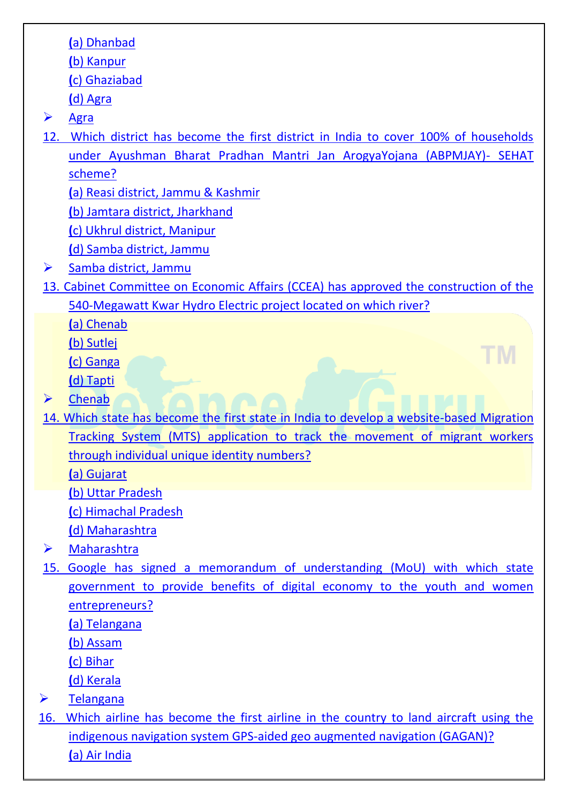**(**[a\) Dhanbad](http://www.defenceguru.co.in/) 

**(**[b\) Kanpur](http://www.defenceguru.co.in/) 

**(**[c\) Ghaziabad](http://www.defenceguru.co.in/) 

**(**[d\) Agra](http://www.defenceguru.co.in/)

 $\triangleright$  [Agra](http://www.defenceguru.co.in/)

[12. Which district has become the first district in India to cover 100% of households](http://www.defenceguru.co.in/)  [under Ayushman Bharat Pradhan Mantri Jan ArogyaYojana \(ABPMJAY\)-](http://www.defenceguru.co.in/) SEHAT [scheme?](http://www.defenceguru.co.in/)

**(**[a\) Reasi district, Jammu & Kashmir](http://www.defenceguru.co.in/)

**(**[b\) Jamtara district, Jharkhand](http://www.defenceguru.co.in/)

**(**[c\) Ukhrul district, Manipur](http://www.defenceguru.co.in/)

**(**[d\) Samba district, Jammu](http://www.defenceguru.co.in/)

- $\triangleright$  [Samba district, Jammu](http://www.defenceguru.co.in/)
- [13. Cabinet Committee on Economic Affairs \(CCEA\) has approved the construction of the](http://www.defenceguru.co.in/)  [540-Megawatt Kwar Hydro Electric project located on which river?](http://www.defenceguru.co.in/)

ГM

**(**[a\) Chenab](http://www.defenceguru.co.in/)

**(**[b\) Sutlej](http://www.defenceguru.co.in/)

**(**[c\) Ganga](http://www.defenceguru.co.in/)

**(**[d\) Tapti](http://www.defenceguru.co.in/)

- $\triangleright$  [Chenab](http://www.defenceguru.co.in/)
- [14. Which state has become the first state in India to develop a website-based Migration](http://www.defenceguru.co.in/)  [Tracking System \(MTS\) application to track the movement of migrant workers](http://www.defenceguru.co.in/)  [through individual unique identity numbers?](http://www.defenceguru.co.in/)

**(**[a\) Gujarat](http://www.defenceguru.co.in/)

**(**[b\) Uttar Pradesh](http://www.defenceguru.co.in/) 

**(**[c\) Himachal Pradesh](http://www.defenceguru.co.in/)

**(**[d\) Maharashtra](http://www.defenceguru.co.in/)

[Maharashtra](http://www.defenceguru.co.in/)

- [15. Google has signed a memorandum of understanding \(MoU\) with which state](http://www.defenceguru.co.in/)  [government to provide benefits of digital economy to the youth and women](http://www.defenceguru.co.in/)  [entrepreneurs?](http://www.defenceguru.co.in/)
	- **(**[a\) Telangana](http://www.defenceguru.co.in/)

**(**[b\) Assam](http://www.defenceguru.co.in/)

**(**[c\) Bihar](http://www.defenceguru.co.in/)

**(**[d\) Kerala](http://www.defenceguru.co.in/)

 $\triangleright$  [Telangana](http://www.defenceguru.co.in/)

[16. Which airline has become the first airline in the country to land aircraft using the](http://www.defenceguru.co.in/)  [indigenous navigation system GPS-aided geo augmented navigation \(GAGAN\)?](http://www.defenceguru.co.in/) **(**[a\) Air India](http://www.defenceguru.co.in/)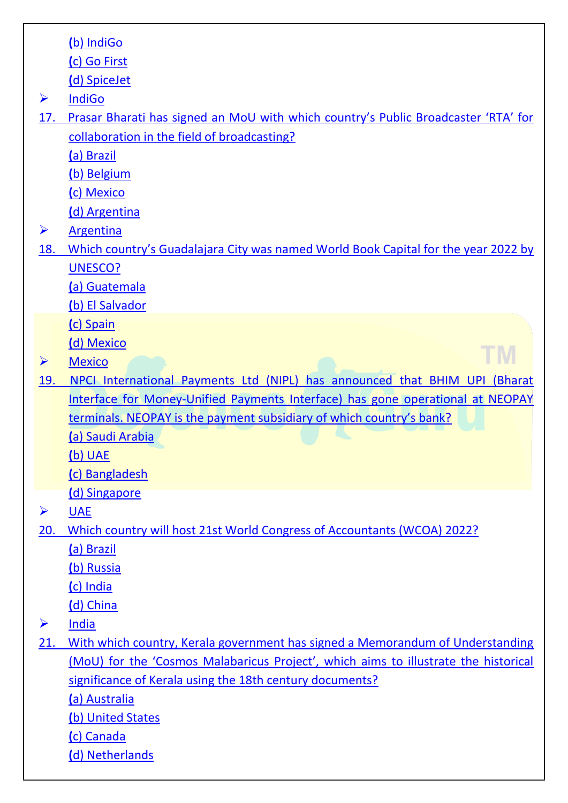**(**[b\) IndiGo](http://www.defenceguru.co.in/)

**(**[c\) Go First](http://www.defenceguru.co.in/)

**(**[d\) SpiceJet](http://www.defenceguru.co.in/)

 $\triangleright$  [IndiGo](http://www.defenceguru.co.in/)

17. Prasar [Bharati has signed an MoU with which country's Public Broadcaster 'RTA' for](http://www.defenceguru.co.in/)  [collaboration in the field of broadcasting?](http://www.defenceguru.co.in/)

**(**[a\) Brazil](http://www.defenceguru.co.in/)

**(**[b\) Belgium](http://www.defenceguru.co.in/)

**(**[c\) Mexico](http://www.defenceguru.co.in/)

**(**[d\) Argentina](http://www.defenceguru.co.in/)

- $\triangleright$  [Argentina](http://www.defenceguru.co.in/)
- 18. [Which country's Guadalajara City was named World Book Capital for the](http://www.defenceguru.co.in/) year 2022 by [UNESCO?](http://www.defenceguru.co.in/)

**(**[a\) Guatemala](http://www.defenceguru.co.in/)

**(**[b\) El Salvador](http://www.defenceguru.co.in/)

**(**[c\) Spain](http://www.defenceguru.co.in/)

**(**[d\) Mexico](http://www.defenceguru.co.in/)

[Mexico](http://www.defenceguru.co.in/)

[19. NPCI International Payments Ltd \(NIPL\) has announced that BHIM UPI \(Bharat](http://www.defenceguru.co.in/)  [Interface for Money-Unified Payments Interface\) has gone operational at NEOPAY](http://www.defenceguru.co.in/)  terminals. NEOPAY [is the payment subsidiary of which country's bank?](http://www.defenceguru.co.in/)

**(**[a\) Saudi Arabia](http://www.defenceguru.co.in/)

**(**[b\) UAE](http://www.defenceguru.co.in/)

**(**[c\) Bangladesh](http://www.defenceguru.co.in/)

**(**[d\) Singapore](http://www.defenceguru.co.in/)

[UAE](http://www.defenceguru.co.in/)

- [20. Which country will host 21st World Congress of Accountants \(WCOA\) 2022?](http://www.defenceguru.co.in/)
	- **(**[a\) Brazil](http://www.defenceguru.co.in/)

**(**[b\) Russia](http://www.defenceguru.co.in/)

**(**[c\) India](http://www.defenceguru.co.in/)

**(**[d\) China](http://www.defenceguru.co.in/)

 $\triangleright$  [India](http://www.defenceguru.co.in/)

[21. With which country, Kerala government has signed a Memorandum of Understanding](http://www.defenceguru.co.in/)  [\(MoU\) for the 'Cosmos Malabaricus Project', which aims to illustrate the historical](http://www.defenceguru.co.in/)  [significance of Kerala using the 18th century documents?](http://www.defenceguru.co.in/)

**(**[a\) Australia](http://www.defenceguru.co.in/)

**(**[b\) United States](http://www.defenceguru.co.in/)

- **(**[c\) Canada](http://www.defenceguru.co.in/)
- **(**[d\) Netherlands](http://www.defenceguru.co.in/)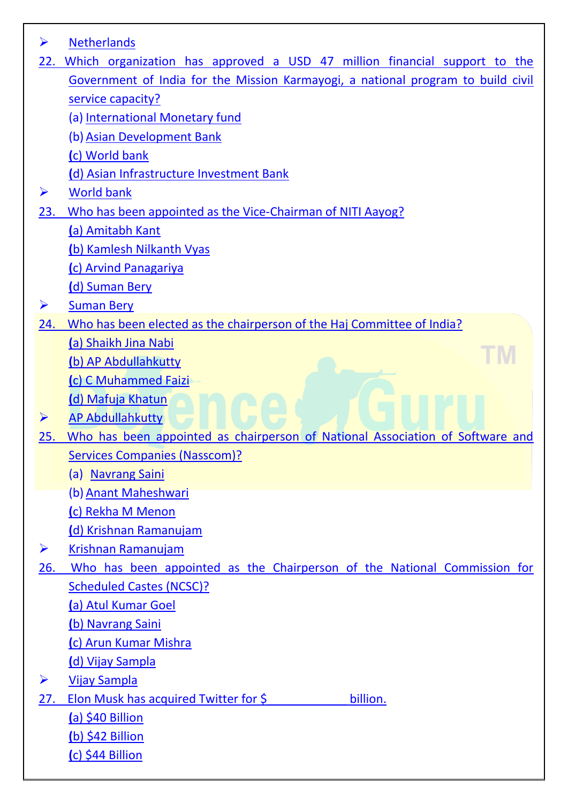| ➤                     | <b>Netherlands</b>                                                               |
|-----------------------|----------------------------------------------------------------------------------|
| 22.                   | Which organization has approved a USD 47 million financial support to the        |
|                       | Government of India for the Mission Karmayogi, a national program to build civil |
|                       | service capacity?                                                                |
|                       | (a) International Monetary fund                                                  |
|                       | (b) Asian Development Bank<br>(c) World bank                                     |
|                       | (d) Asian Infrastructure Investment Bank                                         |
| ➤                     | <b>World bank</b>                                                                |
| 23.                   | Who has been appointed as the Vice-Chairman of NITI Aayog?                       |
|                       | (a) Amitabh Kant                                                                 |
|                       | (b) Kamlesh Nilkanth Vyas                                                        |
|                       | (c) Arvind Panagariya                                                            |
|                       | (d) Suman Bery                                                                   |
| ➤                     | <b>Suman Bery</b>                                                                |
| 24.                   | Who has been elected as the chairperson of the Haj Committee of India?           |
|                       | (a) Shaikh Jina Nabi                                                             |
|                       | (b) AP Abdullahkutty                                                             |
|                       | (c) C Muhammed Faizi                                                             |
|                       | (d) Mafuja Khatun                                                                |
| $\blacktriangleright$ | <b>AP Abdullahkutty</b>                                                          |
| <u>25.</u>            | Who has been appointed as chairperson of National Association of Software and    |
|                       | <b>Services Companies (Nasscom)?</b>                                             |
|                       | (a) Navrang Saini                                                                |
|                       | (b) Anant Maheshwari                                                             |
|                       | (c) Rekha M Menon                                                                |
|                       | (d) Krishnan Ramanujam                                                           |
| ➤                     | <b>Krishnan Ramanujam</b>                                                        |
| <u>26.</u>            | Who has been appointed as the Chairperson of the National Commission for         |
|                       | <b>Scheduled Castes (NCSC)?</b>                                                  |
|                       | (a) Atul Kumar Goel                                                              |
|                       | (b) Navrang Saini                                                                |
|                       | (c) Arun Kumar Mishra                                                            |
|                       | (d) Vijay Sampla                                                                 |
| ➤                     | <b>Vijay Sampla</b>                                                              |
| 27.                   | Elon Musk has acquired Twitter for \$<br>billion.                                |
|                       | (a) \$40 Billion                                                                 |
|                       | (b) \$42 Billion                                                                 |
|                       | (c) \$44 Billion                                                                 |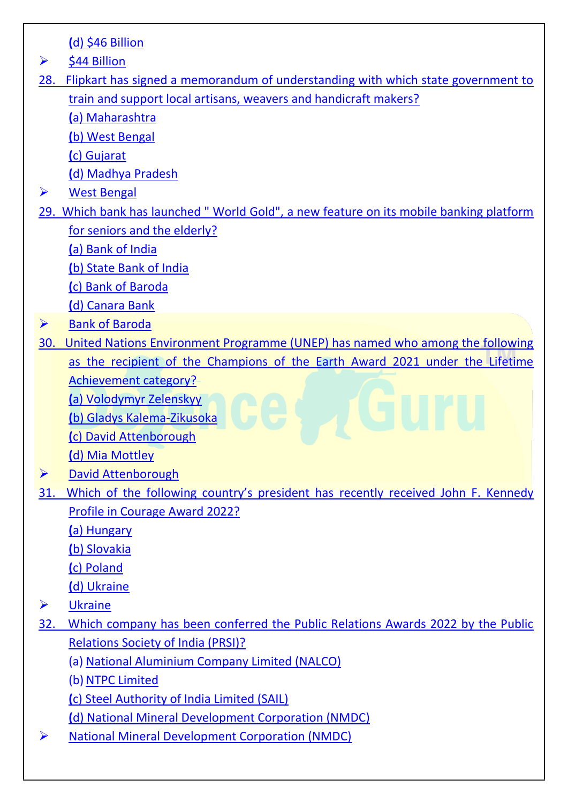**(**[d\) \\$46 Billion](http://www.defenceguru.co.in/)

- $\triangleright$  [\\$44 Billion](http://www.defenceguru.co.in/)
- 28. Flipkart [has signed a memorandum of understanding with which state government to](http://www.defenceguru.co.in/)  [train and support local artisans, weavers and handicraft makers?](http://www.defenceguru.co.in/)
	- **(**[a\) Maharashtra](http://www.defenceguru.co.in/)
	- **(**[b\) West Bengal](http://www.defenceguru.co.in/)
	- **(**[c\) Gujarat](http://www.defenceguru.co.in/)
	- **(**[d\) Madhya Pradesh](http://www.defenceguru.co.in/)
- **▶ [West Bengal](http://www.defenceguru.co.in/)**
- 29. Which bank has launched " World Gold", [a new feature on its mobile banking platform](http://www.defenceguru.co.in/) 
	- [for seniors and the elderly?](http://www.defenceguru.co.in/)
	- **(**[a\) Bank of India](http://www.defenceguru.co.in/)
	- **(**[b\) State Bank of India](http://www.defenceguru.co.in/)
	- **(**[c\) Bank of Baroda](http://www.defenceguru.co.in/)
	- **(**[d\) Canara Bank](http://www.defenceguru.co.in/)
- $\triangleright$  [Bank of Baroda](http://www.defenceguru.co.in/)
- [30. United Nations Environment Programme \(UNEP\) has named who among the following](http://www.defenceguru.co.in/) 
	- [as the recipient of the Champions of the Earth Award 2021 under the Lifetime](http://www.defenceguru.co.in/) 
		- [Achievement category?](http://www.defenceguru.co.in/)
		- **(**[a\) Volodymyr Zelenskyy](http://www.defenceguru.co.in/)
		- **(**[b\) Gladys Kalema-Zikusoka](http://www.defenceguru.co.in/)
		- **(**[c\) David Attenborough](http://www.defenceguru.co.in/)
		- **(**[d\) Mia Mottley](http://www.defenceguru.co.in/)
- **[David Attenborough](http://www.defenceguru.co.in/)**
- 31. [Which of the following country's president has](http://www.defenceguru.co.in/) recently received John F. Kennedy [Profile in Courage Award 2022?](http://www.defenceguru.co.in/)
	- **(**[a\) Hungary](http://www.defenceguru.co.in/)
	- **(**[b\) Slovakia](http://www.defenceguru.co.in/)
	- **(**[c\) Poland](http://www.defenceguru.co.in/)
	- **(**[d\) Ukraine](http://www.defenceguru.co.in/)
- $\triangleright$  [Ukraine](http://www.defenceguru.co.in/)
- [32. Which company has been conferred the Public Relations Awards 2022 by the Public](http://www.defenceguru.co.in/)  [Relations Society of India \(PRSI\)?](http://www.defenceguru.co.in/)
	- (a) [National Aluminium Company Limited \(NALCO\)](http://www.defenceguru.co.in/)
	- (b) NTPC Limited
	- **(**[c\) Steel Authority of India Limited \(SAIL\)](http://www.defenceguru.co.in/)
	- **(**[d\) National Mineral Development Corporation \(NMDC\)](http://www.defenceguru.co.in/)
- [National Mineral Development Corporation \(NMDC\)](http://www.defenceguru.co.in/)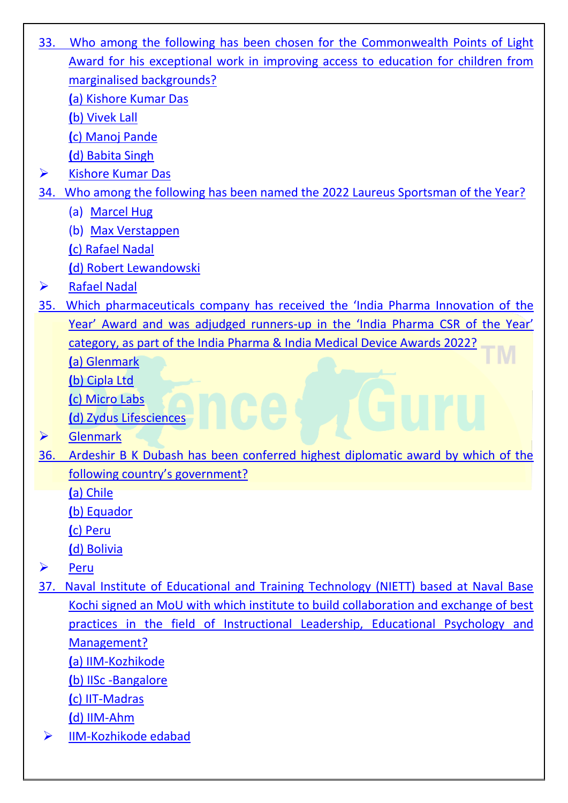| 33.                   | Who among the following has been chosen for the Commonwealth Points of Light         |
|-----------------------|--------------------------------------------------------------------------------------|
|                       | Award for his exceptional work in improving access to education for children from    |
|                       | marginalised backgrounds?                                                            |
|                       | (a) Kishore Kumar Das                                                                |
|                       | (b) Vivek Lall                                                                       |
|                       | (c) Manoj Pande                                                                      |
|                       | (d) Babita Singh                                                                     |
| ➤                     | <b>Kishore Kumar Das</b>                                                             |
| 34.                   | Who among the following has been named the 2022 Laureus Sportsman of the Year?       |
|                       | (a) Marcel Hug                                                                       |
|                       | (b) Max Verstappen                                                                   |
|                       | (c) Rafael Nadal                                                                     |
|                       | (d) Robert Lewandowski                                                               |
| ➤                     | <b>Rafael Nadal</b>                                                                  |
| 35.                   | Which pharmaceuticals company has received the 'India Pharma Innovation of the       |
|                       | Year' Award and was adjudged runners-up in the 'India Pharma CSR of the Year'        |
|                       | category, as part of the India Pharma & India Medical Device Awards 2022?            |
|                       | (a) Glenmark                                                                         |
|                       | (b) Cipla Ltd                                                                        |
|                       | (c) Micro Labs                                                                       |
|                       | (d) Zydus Lifesciences                                                               |
| $\blacktriangleright$ | <b>Glenmark</b>                                                                      |
| 36.                   | Ardeshir B K Dubash has been conferred highest diplomatic award by which of the      |
|                       | following country's government?                                                      |
|                       | (a) Chile                                                                            |
|                       | (b) Equador                                                                          |
|                       | (c) Peru                                                                             |
|                       | (d) Bolivia                                                                          |
| ➤                     | Peru                                                                                 |
| 37.                   | Naval Institute of Educational and Training Technology (NIETT) based at Naval Base   |
|                       | Kochi signed an MoU with which institute to build collaboration and exchange of best |
|                       | practices in the field of Instructional Leadership, Educational Psychology and       |
|                       | Management?                                                                          |
|                       | (a) IIM-Kozhikode                                                                    |
|                       | (b) IISc -Bangalore                                                                  |
|                       | (c) IIT-Madras                                                                       |
|                       | (d) IIM-Ahm                                                                          |
| ➤                     | <b>IIM-Kozhikode edabad</b>                                                          |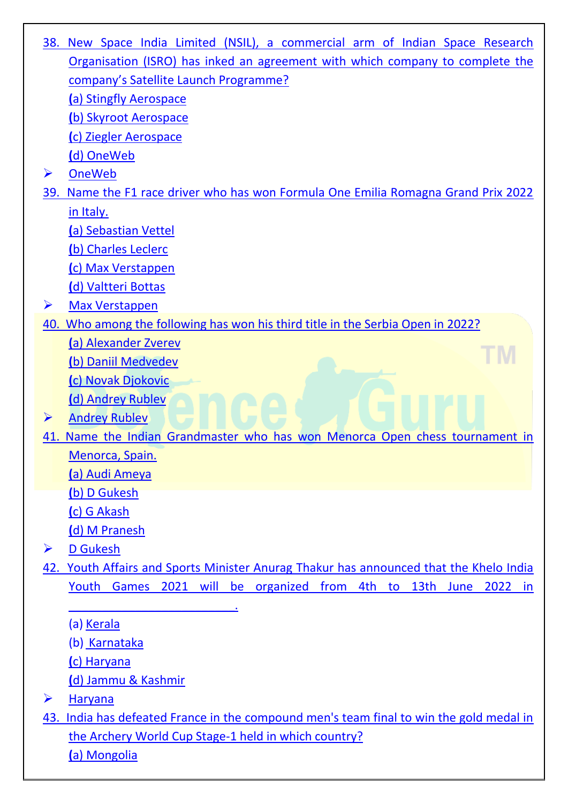|     | 38. New Space India Limited (NSIL), a commercial arm of Indian Space Research       |
|-----|-------------------------------------------------------------------------------------|
|     | Organisation (ISRO) has inked an agreement with which company to complete the       |
|     | company's Satellite Launch Programme?                                               |
|     | (a) Stingfly Aerospace                                                              |
|     | (b) Skyroot Aerospace                                                               |
|     | (c) Ziegler Aerospace                                                               |
|     | (d) OneWeb                                                                          |
| ➤   | <b>OneWeb</b>                                                                       |
|     | 39. Name the F1 race driver who has won Formula One Emilia Romagna Grand Prix 2022  |
|     | in Italy.                                                                           |
|     | (a) Sebastian Vettel                                                                |
|     | (b) Charles Leclerc                                                                 |
|     | (c) Max Verstappen                                                                  |
|     | (d) Valtteri Bottas                                                                 |
| ➤   | <b>Max Verstappen</b>                                                               |
|     | 40. Who among the following has won his third title in the Serbia Open in 2022?     |
|     | (a) Alexander Zverev                                                                |
|     | (b) Daniil Medvedev                                                                 |
|     | (c) Novak Djokovic                                                                  |
|     | (d) Andrey Rublev                                                                   |
|     | <b>Andrey Rublev</b>                                                                |
|     | 41. Name the Indian Grandmaster who has won Menorca Open chess tournament in        |
|     | Menorca, Spain.                                                                     |
|     | (a) Audi Ameya                                                                      |
|     | (b) D Gukesh                                                                        |
|     | (c) G Akash                                                                         |
|     | (d) M Pranesh                                                                       |
| ➤   | D Gukesh                                                                            |
| 42. | Youth Affairs and Sports Minister Anurag Thakur has announced that the Khelo India  |
|     | Games 2021 will<br>be organized from<br>4th to 13th<br>Youth<br>June<br>2022 in     |
|     |                                                                                     |
|     | (a) Kerala                                                                          |
|     | (b) Karnataka                                                                       |
|     | (c) Haryana                                                                         |
|     | (d) Jammu & Kashmir                                                                 |
| ➤   | <b>Haryana</b>                                                                      |
| 43. | India has defeated France in the compound men's team final to win the gold medal in |
|     | the Archery World Cup Stage-1 held in which country?                                |
|     | (a) Mongolia                                                                        |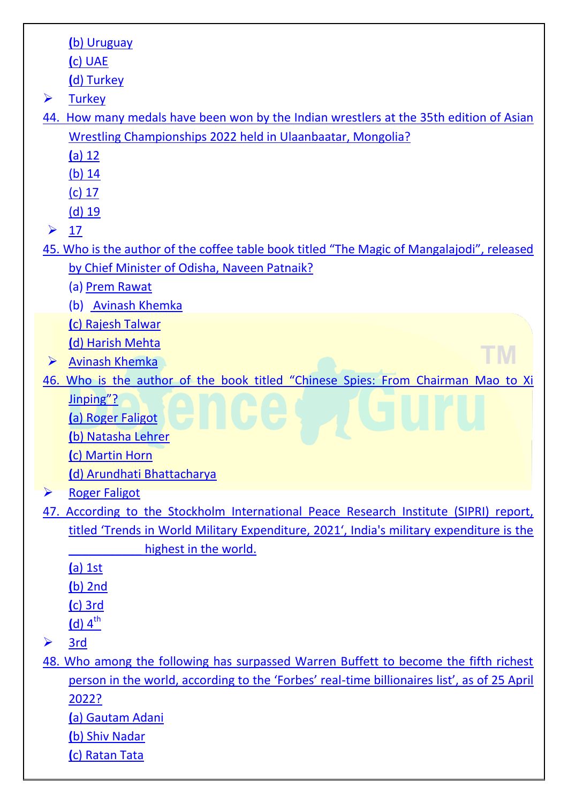**(**[b\) Uruguay](http://www.defenceguru.co.in/) **(**[c\) UAE](http://www.defenceguru.co.in/) **(**[d\) Turkey](http://www.defenceguru.co.in/)  $\triangleright$  [Turkey](http://www.defenceguru.co.in/) [44. How many medals have been won by the Indian wrestlers at the 35th edition of Asian](http://www.defenceguru.co.in/)  [Wrestling Championships 2022 held in Ulaanbaatar, Mongolia?](http://www.defenceguru.co.in/) **(**[a\) 12](http://www.defenceguru.co.in/) [\(b\) 14](http://www.defenceguru.co.in/) [\(c\) 17](http://www.defenceguru.co.in/) [\(d\) 19](http://www.defenceguru.co.in/)  $\geq 17$  $\geq 17$ [45. Who is the author of the coffee table book titled "The Magic of Mangalajodi", released](http://www.defenceguru.co.in/)  [by Chief Minister of Odisha,](http://www.defenceguru.co.in/) Naveen Patnaik? (a) [Prem Rawat](http://www.defenceguru.co.in/)  (b) [Avinash Khemka](http://www.defenceguru.co.in/) **(**[c\) Rajesh Talwar](http://www.defenceguru.co.in/) **(**[d\) Harish Mehta](http://www.defenceguru.co.in/)  $\triangleright$  [Avinash Khemka](http://www.defenceguru.co.in/) [46. Who is the author of the book titled "Chinese Spies: From Chairman Mao to Xi](http://www.defenceguru.co.in/)  [Jinping"?](http://www.defenceguru.co.in/) **(**[a\) Roger Faligot](http://www.defenceguru.co.in/) **(**[b\) Natasha Lehrer](http://www.defenceguru.co.in/) **(**[c\) Martin Horn](http://www.defenceguru.co.in/) **(**d) Arundhati [Bhattacharya](http://www.defenceguru.co.in/) **▶ [Roger Faligot](http://www.defenceguru.co.in/)** [47. According to the Stockholm International Peace Research Institute \(SIPRI\) report,](http://www.defenceguru.co.in/)  [titled 'Trends in World Military Expenditure, 2021', India's military expenditure is the](http://www.defenceguru.co.in/)  highest in the world. **(**[a\) 1st](http://www.defenceguru.co.in/) **(**[b\) 2nd](http://www.defenceguru.co.in/) **(**c) [3rd](http://www.defenceguru.co.in/) **(**[d\) 4](http://www.defenceguru.co.in/)th  $\geq$  [3rd](http://www.defenceguru.co.in/) [48. Who among the following has surpassed Warren Buffett to become the fifth richest](http://www.defenceguru.co.in/)  [person in the world, according to the 'Forbes' real](http://www.defenceguru.co.in/)-time billionaires list', as of 25 April [2022?](http://www.defenceguru.co.in/) **(**[a\) Gautam Adani](http://www.defenceguru.co.in/) **(**[b\) Shiv Nadar](http://www.defenceguru.co.in/) **(**[c\) Ratan Tata](http://www.defenceguru.co.in/)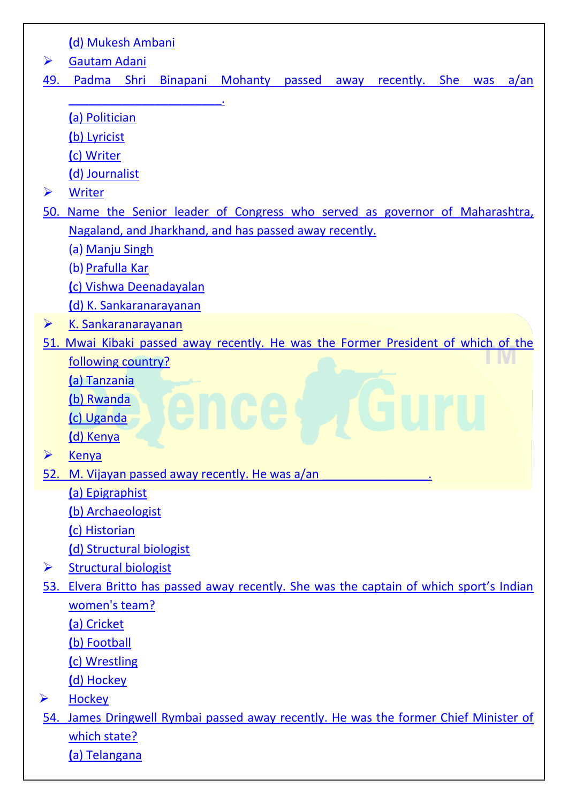|                       | (d) Mukesh Ambani                                                                                                                                     |
|-----------------------|-------------------------------------------------------------------------------------------------------------------------------------------------------|
| ➤                     | <b>Gautam Adani</b>                                                                                                                                   |
| 49.                   | Padma<br><b>Mohanty</b><br>Shri<br><b>Binapani</b><br>away recently. She<br>passed<br>$a$ an<br>was                                                   |
| ➤<br>50.              | (a) Politician<br>(b) Lyricist<br>(c) Writer<br>(d) Journalist<br>Writer<br>Name the Senior leader of Congress who served as governor of Maharashtra, |
|                       | Nagaland, and Jharkhand, and has passed away recently.<br>(a) <u>Manju Singh</u>                                                                      |
|                       | (b) Prafulla Kar                                                                                                                                      |
|                       | (c) Vishwa Deenadayalan                                                                                                                               |
|                       | (d) K. Sankaranarayanan                                                                                                                               |
| ➤                     | K. Sankaranarayanan                                                                                                                                   |
|                       | 51. Mwai Kibaki passed away recently. He was the Former President of which of the                                                                     |
|                       | following country?                                                                                                                                    |
|                       | (a) Tanzania                                                                                                                                          |
|                       | (b) Rwanda                                                                                                                                            |
|                       | (c) Uganda                                                                                                                                            |
|                       | (d) Kenya                                                                                                                                             |
|                       | Kenya                                                                                                                                                 |
|                       | 52. M. Vijayan passed away recently. He was a/an                                                                                                      |
|                       | (a) Epigraphist                                                                                                                                       |
|                       | (b) Archaeologist<br>(c) Historian                                                                                                                    |
|                       | (d) Structural biologist                                                                                                                              |
| ➤                     | <b>Structural biologist</b>                                                                                                                           |
| 53.                   | Elvera Britto has passed away recently. She was the captain of which sport's Indian                                                                   |
|                       | women's team?                                                                                                                                         |
|                       | (a) Cricket                                                                                                                                           |
|                       | (b) Football                                                                                                                                          |
|                       | (c) Wrestling                                                                                                                                         |
|                       | <u>(d) Hockey</u>                                                                                                                                     |
| $\blacktriangleright$ | <b>Hockey</b>                                                                                                                                         |
| 54.                   | James Dringwell Rymbai passed away recently. He was the former Chief Minister of                                                                      |
|                       | which state?                                                                                                                                          |
|                       | (a) Telangana                                                                                                                                         |